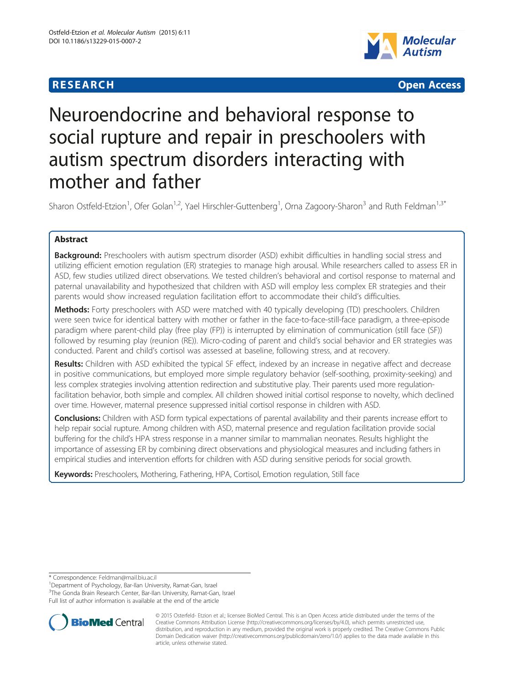# **RESEARCH CHEAR CHEAR CHEAR CHEAR CHEAR CHEAR CHEAR CHEAR CHEAR CHEAR CHEAR CHEAR CHEAR CHEAR CHEAR CHEAR CHEAR**



# Neuroendocrine and behavioral response to social rupture and repair in preschoolers with autism spectrum disorders interacting with mother and father

Sharon Ostfeld-Etzion<sup>1</sup>, Ofer Golan<sup>1,2</sup>, Yael Hirschler-Guttenberg<sup>1</sup>, Orna Zagoory-Sharon<sup>3</sup> and Ruth Feldman<sup>1,3\*</sup>

## Abstract

**Background:** Preschoolers with autism spectrum disorder (ASD) exhibit difficulties in handling social stress and utilizing efficient emotion regulation (ER) strategies to manage high arousal. While researchers called to assess ER in ASD, few studies utilized direct observations. We tested children's behavioral and cortisol response to maternal and paternal unavailability and hypothesized that children with ASD will employ less complex ER strategies and their parents would show increased regulation facilitation effort to accommodate their child's difficulties.

Methods: Forty preschoolers with ASD were matched with 40 typically developing (TD) preschoolers. Children were seen twice for identical battery with mother or father in the face-to-face-still-face paradigm, a three-episode paradigm where parent-child play (free play (FP)) is interrupted by elimination of communication (still face (SF)) followed by resuming play (reunion (RE)). Micro-coding of parent and child's social behavior and ER strategies was conducted. Parent and child's cortisol was assessed at baseline, following stress, and at recovery.

Results: Children with ASD exhibited the typical SF effect, indexed by an increase in negative affect and decrease in positive communications, but employed more simple regulatory behavior (self-soothing, proximity-seeking) and less complex strategies involving attention redirection and substitutive play. Their parents used more regulationfacilitation behavior, both simple and complex. All children showed initial cortisol response to novelty, which declined over time. However, maternal presence suppressed initial cortisol response in children with ASD.

Conclusions: Children with ASD form typical expectations of parental availability and their parents increase effort to help repair social rupture. Among children with ASD, maternal presence and regulation facilitation provide social buffering for the child's HPA stress response in a manner similar to mammalian neonates. Results highlight the importance of assessing ER by combining direct observations and physiological measures and including fathers in empirical studies and intervention efforts for children with ASD during sensitive periods for social growth.

Keywords: Preschoolers, Mothering, Fathering, HPA, Cortisol, Emotion regulation, Still face

\* Correspondence: [Feldman@mail.biu.ac.il](mailto:Feldman@mail.biu.ac.il) <sup>1</sup>

Full list of author information is available at the end of the article



<sup>© 2015</sup> Osterfeld- Etzion et al.; licensee BioMed Central. This is an Open Access article distributed under the terms of the Creative Commons Attribution License (<http://creativecommons.org/licenses/by/4.0>), which permits unrestricted use, distribution, and reproduction in any medium, provided the original work is properly credited. The Creative Commons Public Domain Dedication waiver [\(http://creativecommons.org/publicdomain/zero/1.0/\)](http://creativecommons.org/publicdomain/zero/1.0/) applies to the data made available in this article, unless otherwise stated.

Department of Psychology, Bar-Ilan University, Ramat-Gan, Israel

<sup>&</sup>lt;sup>3</sup>The Gonda Brain Research Center, Bar-Ilan University, Ramat-Gan, Israel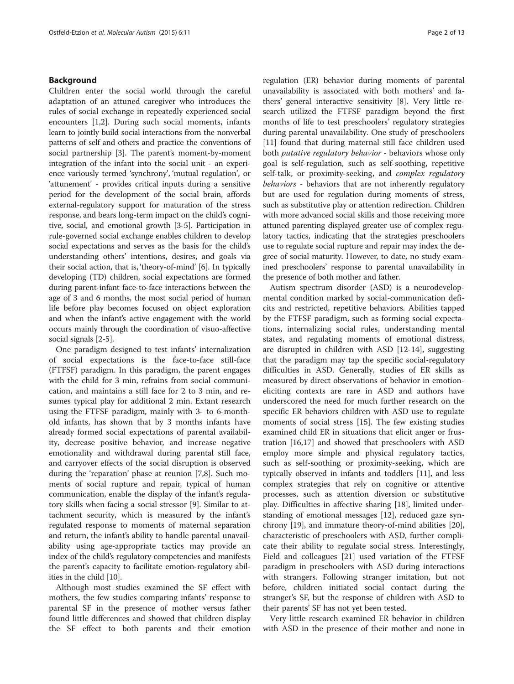#### Background

Children enter the social world through the careful adaptation of an attuned caregiver who introduces the rules of social exchange in repeatedly experienced social encounters [[1,2\]](#page-11-0). During such social moments, infants learn to jointly build social interactions from the nonverbal patterns of self and others and practice the conventions of social partnership [[3\]](#page-11-0). The parent's moment-by-moment integration of the infant into the social unit - an experience variously termed 'synchrony', 'mutual regulation', or 'attunement' - provides critical inputs during a sensitive period for the development of the social brain, affords external-regulatory support for maturation of the stress response, and bears long-term impact on the child's cognitive, social, and emotional growth [[3-5](#page-11-0)]. Participation in rule-governed social exchange enables children to develop social expectations and serves as the basis for the child's understanding others' intentions, desires, and goals via their social action, that is, 'theory-of-mind' [\[6](#page-11-0)]. In typically developing (TD) children, social expectations are formed during parent-infant face-to-face interactions between the age of 3 and 6 months, the most social period of human life before play becomes focused on object exploration and when the infant's active engagement with the world occurs mainly through the coordination of visuo-affective social signals [[2-5](#page-11-0)].

One paradigm designed to test infants' internalization of social expectations is the face-to-face still-face (FTFSF) paradigm. In this paradigm, the parent engages with the child for 3 min, refrains from social communication, and maintains a still face for 2 to 3 min, and resumes typical play for additional 2 min. Extant research using the FTFSF paradigm, mainly with 3- to 6-monthold infants, has shown that by 3 months infants have already formed social expectations of parental availability, decrease positive behavior, and increase negative emotionality and withdrawal during parental still face, and carryover effects of the social disruption is observed during the 'reparation' phase at reunion [\[7,8](#page-11-0)]. Such moments of social rupture and repair, typical of human communication, enable the display of the infant's regulatory skills when facing a social stressor [[9\]](#page-11-0). Similar to attachment security, which is measured by the infant's regulated response to moments of maternal separation and return, the infant's ability to handle parental unavailability using age-appropriate tactics may provide an index of the child's regulatory competencies and manifests the parent's capacity to facilitate emotion-regulatory abilities in the child [\[10](#page-11-0)].

Although most studies examined the SF effect with mothers, the few studies comparing infants' response to parental SF in the presence of mother versus father found little differences and showed that children display the SF effect to both parents and their emotion

regulation (ER) behavior during moments of parental unavailability is associated with both mothers' and fathers' general interactive sensitivity [\[8](#page-11-0)]. Very little research utilized the FTFSF paradigm beyond the first months of life to test preschoolers' regulatory strategies during parental unavailability. One study of preschoolers [[11\]](#page-11-0) found that during maternal still face children used both putative regulatory behavior - behaviors whose only goal is self-regulation, such as self-soothing, repetitive self-talk, or proximity-seeking, and complex regulatory behaviors - behaviors that are not inherently regulatory but are used for regulation during moments of stress, such as substitutive play or attention redirection. Children with more advanced social skills and those receiving more attuned parenting displayed greater use of complex regulatory tactics, indicating that the strategies preschoolers use to regulate social rupture and repair may index the degree of social maturity. However, to date, no study examined preschoolers' response to parental unavailability in the presence of both mother and father.

Autism spectrum disorder (ASD) is a neurodevelopmental condition marked by social-communication deficits and restricted, repetitive behaviors. Abilities tapped by the FTFSF paradigm, such as forming social expectations, internalizing social rules, understanding mental states, and regulating moments of emotional distress, are disrupted in children with ASD [\[12](#page-11-0)-[14](#page-11-0)], suggesting that the paradigm may tap the specific social-regulatory difficulties in ASD. Generally, studies of ER skills as measured by direct observations of behavior in emotioneliciting contexts are rare in ASD and authors have underscored the need for much further research on the specific ER behaviors children with ASD use to regulate moments of social stress [[15](#page-11-0)]. The few existing studies examined child ER in situations that elicit anger or frustration [\[16,17](#page-11-0)] and showed that preschoolers with ASD employ more simple and physical regulatory tactics, such as self-soothing or proximity-seeking, which are typically observed in infants and toddlers [[11\]](#page-11-0), and less complex strategies that rely on cognitive or attentive processes, such as attention diversion or substitutive play. Difficulties in affective sharing [\[18](#page-11-0)], limited understanding of emotional messages [\[12](#page-11-0)], reduced gaze synchrony [[19](#page-11-0)], and immature theory-of-mind abilities [\[20](#page-11-0)], characteristic of preschoolers with ASD, further complicate their ability to regulate social stress. Interestingly, Field and colleagues [[21\]](#page-11-0) used variation of the FTFSF paradigm in preschoolers with ASD during interactions with strangers. Following stranger imitation, but not before, children initiated social contact during the stranger's SF, but the response of children with ASD to their parents' SF has not yet been tested.

Very little research examined ER behavior in children with ASD in the presence of their mother and none in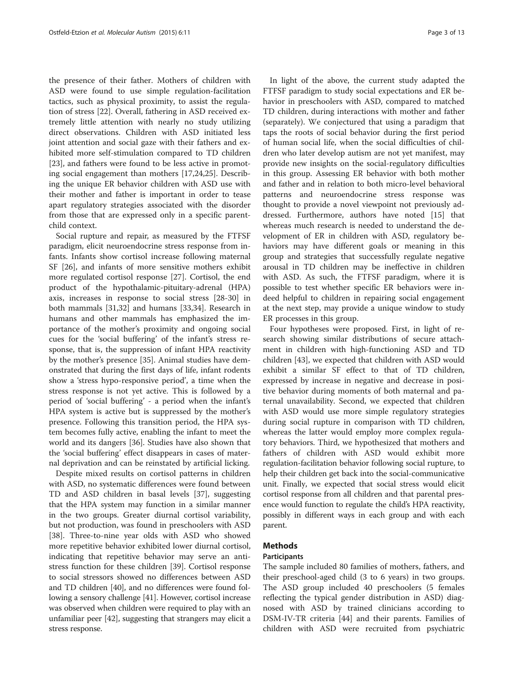the presence of their father. Mothers of children with ASD were found to use simple regulation-facilitation tactics, such as physical proximity, to assist the regulation of stress [[22](#page-11-0)]. Overall, fathering in ASD received extremely little attention with nearly no study utilizing direct observations. Children with ASD initiated less joint attention and social gaze with their fathers and exhibited more self-stimulation compared to TD children [[23\]](#page-11-0), and fathers were found to be less active in promoting social engagement than mothers [\[17,24,25](#page-11-0)]. Describing the unique ER behavior children with ASD use with their mother and father is important in order to tease apart regulatory strategies associated with the disorder from those that are expressed only in a specific parentchild context.

Social rupture and repair, as measured by the FTFSF paradigm, elicit neuroendocrine stress response from infants. Infants show cortisol increase following maternal SF [[26](#page-12-0)], and infants of more sensitive mothers exhibit more regulated cortisol response [[27\]](#page-12-0). Cortisol, the end product of the hypothalamic-pituitary-adrenal (HPA) axis, increases in response to social stress [[28-30\]](#page-12-0) in both mammals [\[31,32](#page-12-0)] and humans [[33,34\]](#page-12-0). Research in humans and other mammals has emphasized the importance of the mother's proximity and ongoing social cues for the 'social buffering' of the infant's stress response, that is, the suppression of infant HPA reactivity by the mother's presence [\[35](#page-12-0)]. Animal studies have demonstrated that during the first days of life, infant rodents show a 'stress hypo-responsive period', a time when the stress response is not yet active. This is followed by a period of 'social buffering' - a period when the infant's HPA system is active but is suppressed by the mother's presence. Following this transition period, the HPA system becomes fully active, enabling the infant to meet the world and its dangers [[36](#page-12-0)]. Studies have also shown that the 'social buffering' effect disappears in cases of maternal deprivation and can be reinstated by artificial licking.

Despite mixed results on cortisol patterns in children with ASD, no systematic differences were found between TD and ASD children in basal levels [[37\]](#page-12-0), suggesting that the HPA system may function in a similar manner in the two groups. Greater diurnal cortisol variability, but not production, was found in preschoolers with ASD [[38\]](#page-12-0). Three-to-nine year olds with ASD who showed more repetitive behavior exhibited lower diurnal cortisol, indicating that repetitive behavior may serve an antistress function for these children [\[39\]](#page-12-0). Cortisol response to social stressors showed no differences between ASD and TD children [\[40\]](#page-12-0), and no differences were found following a sensory challenge [\[41](#page-12-0)]. However, cortisol increase was observed when children were required to play with an unfamiliar peer [\[42\]](#page-12-0), suggesting that strangers may elicit a stress response.

In light of the above, the current study adapted the FTFSF paradigm to study social expectations and ER behavior in preschoolers with ASD, compared to matched TD children, during interactions with mother and father (separately). We conjectured that using a paradigm that taps the roots of social behavior during the first period of human social life, when the social difficulties of children who later develop autism are not yet manifest, may provide new insights on the social-regulatory difficulties in this group. Assessing ER behavior with both mother and father and in relation to both micro-level behavioral patterns and neuroendocrine stress response was thought to provide a novel viewpoint not previously addressed. Furthermore, authors have noted [[15](#page-11-0)] that whereas much research is needed to understand the development of ER in children with ASD, regulatory behaviors may have different goals or meaning in this group and strategies that successfully regulate negative arousal in TD children may be ineffective in children with ASD. As such, the FTFSF paradigm, where it is possible to test whether specific ER behaviors were indeed helpful to children in repairing social engagement at the next step, may provide a unique window to study ER processes in this group.

Four hypotheses were proposed. First, in light of research showing similar distributions of secure attachment in children with high-functioning ASD and TD children [\[43](#page-12-0)], we expected that children with ASD would exhibit a similar SF effect to that of TD children, expressed by increase in negative and decrease in positive behavior during moments of both maternal and paternal unavailability. Second, we expected that children with ASD would use more simple regulatory strategies during social rupture in comparison with TD children, whereas the latter would employ more complex regulatory behaviors. Third, we hypothesized that mothers and fathers of children with ASD would exhibit more regulation-facilitation behavior following social rupture, to help their children get back into the social-communicative unit. Finally, we expected that social stress would elicit cortisol response from all children and that parental presence would function to regulate the child's HPA reactivity, possibly in different ways in each group and with each parent.

#### Methods

## Participants

The sample included 80 families of mothers, fathers, and their preschool-aged child (3 to 6 years) in two groups. The ASD group included 40 preschoolers (5 females reflecting the typical gender distribution in ASD) diagnosed with ASD by trained clinicians according to DSM-IV-TR criteria [[44\]](#page-12-0) and their parents. Families of children with ASD were recruited from psychiatric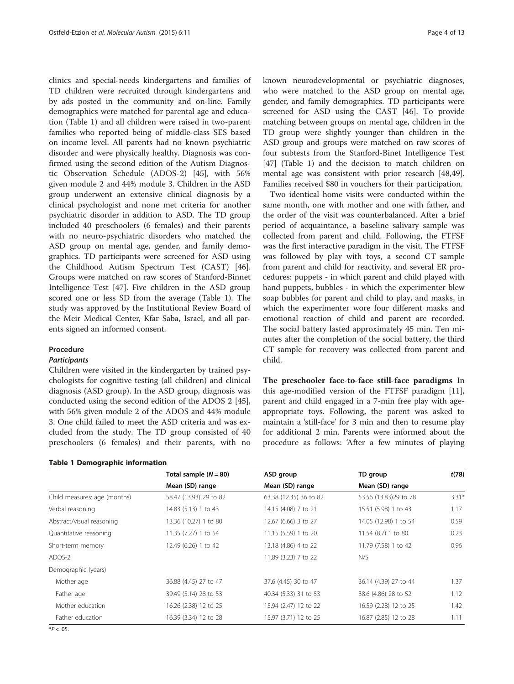clinics and special-needs kindergartens and families of TD children were recruited through kindergartens and by ads posted in the community and on-line. Family demographics were matched for parental age and education (Table 1) and all children were raised in two-parent families who reported being of middle-class SES based on income level. All parents had no known psychiatric disorder and were physically healthy. Diagnosis was confirmed using the second edition of the Autism Diagnostic Observation Schedule (ADOS-2) [[45\]](#page-12-0), with 56% given module 2 and 44% module 3. Children in the ASD group underwent an extensive clinical diagnosis by a clinical psychologist and none met criteria for another psychiatric disorder in addition to ASD. The TD group included 40 preschoolers (6 females) and their parents with no neuro-psychiatric disorders who matched the ASD group on mental age, gender, and family demographics. TD participants were screened for ASD using the Childhood Autism Spectrum Test (CAST) [\[46](#page-12-0)]. Groups were matched on raw scores of Stanford-Binnet Intelligence Test [[47](#page-12-0)]. Five children in the ASD group scored one or less SD from the average (Table 1). The study was approved by the Institutional Review Board of the Meir Medical Center, Kfar Saba, Israel, and all parents signed an informed consent.

## Procedure

## **Participants**

Children were visited in the kindergarten by trained psychologists for cognitive testing (all children) and clinical diagnosis (ASD group). In the ASD group, diagnosis was conducted using the second edition of the ADOS 2 [\[45](#page-12-0)], with 56% given module 2 of the ADOS and 44% module 3. One child failed to meet the ASD criteria and was excluded from the study. The TD group consisted of 40 preschoolers (6 females) and their parents, with no

#### Table 1 Demographic information

known neurodevelopmental or psychiatric diagnoses, who were matched to the ASD group on mental age, gender, and family demographics. TD participants were screened for ASD using the CAST [\[46](#page-12-0)]. To provide matching between groups on mental age, children in the TD group were slightly younger than children in the ASD group and groups were matched on raw scores of four subtests from the Stanford-Binet Intelligence Test [[47\]](#page-12-0) (Table 1) and the decision to match children on mental age was consistent with prior research [\[48,49](#page-12-0)]. Families received \$80 in vouchers for their participation.

Two identical home visits were conducted within the same month, one with mother and one with father, and the order of the visit was counterbalanced. After a brief period of acquaintance, a baseline salivary sample was collected from parent and child. Following, the FTFSF was the first interactive paradigm in the visit. The FTFSF was followed by play with toys, a second CT sample from parent and child for reactivity, and several ER procedures: puppets - in which parent and child played with hand puppets, bubbles - in which the experimenter blew soap bubbles for parent and child to play, and masks, in which the experimenter wore four different masks and emotional reaction of child and parent are recorded. The social battery lasted approximately 45 min. Ten minutes after the completion of the social battery, the third CT sample for recovery was collected from parent and child.

The preschooler face-to-face still-face paradigms In this age-modified version of the FTFSF paradigm [\[11](#page-11-0)], parent and child engaged in a 7-min free play with ageappropriate toys. Following, the parent was asked to maintain a 'still-face' for 3 min and then to resume play for additional 2 min. Parents were informed about the procedure as follows: 'After a few minutes of playing

|                              | Total sample $(N = 80)$<br>Mean (SD) range | ASD group<br>Mean (SD) range | TD group<br>Mean (SD) range | t(78)   |
|------------------------------|--------------------------------------------|------------------------------|-----------------------------|---------|
|                              |                                            |                              |                             |         |
| Child measures: age (months) | 58.47 (13.93) 29 to 82                     | 63.38 (12.35) 36 to 82       | 53.56 (13.83)29 to 78       | $3.31*$ |
| Verbal reasoning             | 14.83 (5.13) 1 to 43                       | 14.15 (4.08) 7 to 21         | 15.51 (5.98) 1 to 43        | 1.17    |
| Abstract/visual reasoning    | 13.36 (10.27) 1 to 80                      | 12.67 (6.66) 3 to 27         | 14.05 (12.98) 1 to 54       | 0.59    |
| Quantitative reasoning       | 11.35 (7.27) 1 to 54                       | 11.15 (5.59) 1 to 20         | 11.54 (8.7) 1 to 80         | 0.23    |
| Short-term memory            | 12.49 (6.26) 1 to 42                       | 13.18 (4.86) 4 to 22         | 11.79 (7.58) 1 to 42        | 0.96    |
| ADOS-2                       |                                            | 11.89 (3.23) 7 to 22         | N/S                         |         |
| Demographic (years)          |                                            |                              |                             |         |
| Mother age                   | 36.88 (4.45) 27 to 47                      | 37.6 (4.45) 30 to 47         | 36.14 (4.39) 27 to 44       | 1.37    |
| Father age                   | 39.49 (5.14) 28 to 53                      | 40.34 (5.33) 31 to 53        | 38.6 (4.86) 28 to 52        | 1.12    |
| Mother education             | 16.26 (2.38) 12 to 25                      | 15.94 (2.47) 12 to 22        | 16.59 (2.28) 12 to 25       | 1.42    |
| Father education             | 16.39 (3.34) 12 to 28                      | 15.97 (3.71) 12 to 25        | 16.87 (2.85) 12 to 28       | 1.11    |

 $*P < .05$ .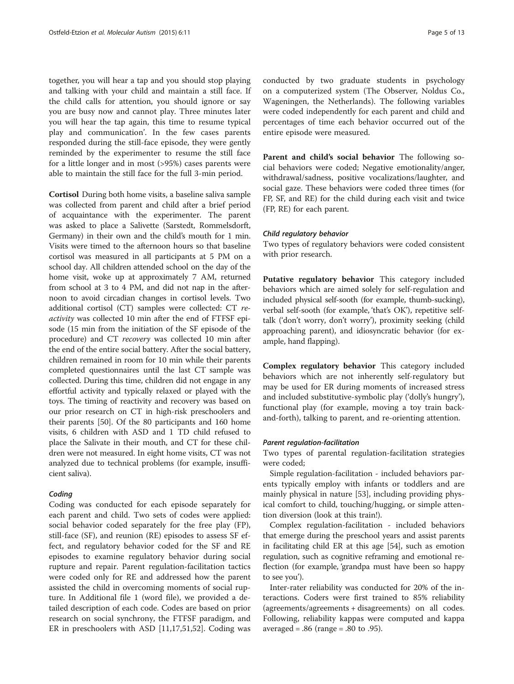together, you will hear a tap and you should stop playing and talking with your child and maintain a still face. If the child calls for attention, you should ignore or say you are busy now and cannot play. Three minutes later you will hear the tap again, this time to resume typical play and communication'. In the few cases parents responded during the still-face episode, they were gently reminded by the experimenter to resume the still face for a little longer and in most (>95%) cases parents were able to maintain the still face for the full 3-min period.

Cortisol During both home visits, a baseline saliva sample was collected from parent and child after a brief period of acquaintance with the experimenter. The parent was asked to place a Salivette (Sarstedt, Rommelsdorft, Germany) in their own and the child's mouth for 1 min. Visits were timed to the afternoon hours so that baseline cortisol was measured in all participants at 5 PM on a school day. All children attended school on the day of the home visit, woke up at approximately 7 AM, returned from school at 3 to 4 PM, and did not nap in the afternoon to avoid circadian changes in cortisol levels. Two additional cortisol (CT) samples were collected: CT reactivity was collected 10 min after the end of FTFSF episode (15 min from the initiation of the SF episode of the procedure) and CT recovery was collected 10 min after the end of the entire social battery. After the social battery, children remained in room for 10 min while their parents completed questionnaires until the last CT sample was collected. During this time, children did not engage in any effortful activity and typically relaxed or played with the toys. The timing of reactivity and recovery was based on our prior research on CT in high-risk preschoolers and their parents [\[50\]](#page-12-0). Of the 80 participants and 160 home visits, 6 children with ASD and 1 TD child refused to place the Salivate in their mouth, and CT for these children were not measured. In eight home visits, CT was not analyzed due to technical problems (for example, insufficient saliva).

## Coding

Coding was conducted for each episode separately for each parent and child. Two sets of codes were applied: social behavior coded separately for the free play (FP), still-face (SF), and reunion (RE) episodes to assess SF effect, and regulatory behavior coded for the SF and RE episodes to examine regulatory behavior during social rupture and repair. Parent regulation-facilitation tactics were coded only for RE and addressed how the parent assisted the child in overcoming moments of social rupture. In Additional file [1](#page-11-0) (word file), we provided a detailed description of each code. Codes are based on prior research on social synchrony, the FTFSF paradigm, and ER in preschoolers with ASD [\[11,17,](#page-11-0)[51,52\]](#page-12-0). Coding was conducted by two graduate students in psychology on a computerized system (The Observer, Noldus Co., Wageningen, the Netherlands). The following variables were coded independently for each parent and child and percentages of time each behavior occurred out of the entire episode were measured.

Parent and child's social behavior The following social behaviors were coded; Negative emotionality/anger, withdrawal/sadness, positive vocalizations/laughter, and social gaze. These behaviors were coded three times (for FP, SF, and RE) for the child during each visit and twice (FP, RE) for each parent.

#### Child regulatory behavior

Two types of regulatory behaviors were coded consistent with prior research.

Putative regulatory behavior This category included behaviors which are aimed solely for self-regulation and included physical self-sooth (for example, thumb-sucking), verbal self-sooth (for example, 'that's OK'), repetitive selftalk ('don't worry, don't worry'), proximity seeking (child approaching parent), and idiosyncratic behavior (for example, hand flapping).

Complex regulatory behavior This category included behaviors which are not inherently self-regulatory but may be used for ER during moments of increased stress and included substitutive-symbolic play ('dolly's hungry'), functional play (for example, moving a toy train backand-forth), talking to parent, and re-orienting attention.

#### Parent regulation-facilitation

Two types of parental regulation-facilitation strategies were coded;

Simple regulation-facilitation - included behaviors parents typically employ with infants or toddlers and are mainly physical in nature [[53\]](#page-12-0), including providing physical comfort to child, touching/hugging, or simple attention diversion (look at this train!).

Complex regulation-facilitation - included behaviors that emerge during the preschool years and assist parents in facilitating child ER at this age [[54](#page-12-0)], such as emotion regulation, such as cognitive reframing and emotional reflection (for example, 'grandpa must have been so happy to see you').

Inter-rater reliability was conducted for 20% of the interactions. Coders were first trained to 85% reliability (agreements/agreements + disagreements) on all codes. Following, reliability kappas were computed and kappa averaged = .86 (range = .80 to .95).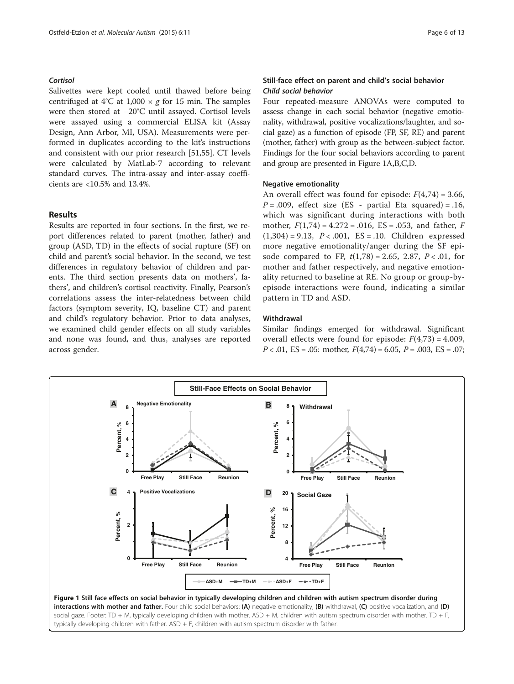#### **Cortisol**

Salivettes were kept cooled until thawed before being centrifuged at  $4^{\circ}$ C at  $1,000 \times g$  for 15 min. The samples were then stored at −20°C until assayed. Cortisol levels were assayed using a commercial ELISA kit (Assay Design, Ann Arbor, MI, USA). Measurements were performed in duplicates according to the kit's instructions and consistent with our prior research [\[51,55](#page-12-0)]. CT levels were calculated by MatLab-7 according to relevant standard curves. The intra-assay and inter-assay coefficients are <10.5% and 13.4%.

## Results

Results are reported in four sections. In the first, we report differences related to parent (mother, father) and group (ASD, TD) in the effects of social rupture (SF) on child and parent's social behavior. In the second, we test differences in regulatory behavior of children and parents. The third section presents data on mothers', fathers', and children's cortisol reactivity. Finally, Pearson's correlations assess the inter-relatedness between child factors (symptom severity, IQ, baseline CT) and parent and child's regulatory behavior. Prior to data analyses, we examined child gender effects on all study variables and none was found, and thus, analyses are reported across gender.

## Still-face effect on parent and child's social behavior Child social behavior

Four repeated-measure ANOVAs were computed to assess change in each social behavior (negative emotionality, withdrawal, positive vocalizations/laughter, and social gaze) as a function of episode (FP, SF, RE) and parent (mother, father) with group as the between-subject factor. Findings for the four social behaviors according to parent and group are presented in Figure 1A,B,C,D.

#### Negative emotionality

An overall effect was found for episode:  $F(4,74) = 3.66$ ,  $P = .009$ , effect size (ES - partial Eta squared) = .16, which was significant during interactions with both mother,  $F(1,74) = 4.272 = .016$ , ES = .053, and father, F  $(1,304) = 9.13$ ,  $P < .001$ ,  $ES = .10$ . Children expressed more negative emotionality/anger during the SF episode compared to FP,  $t(1,78) = 2.65$ , 2.87,  $P < .01$ , for mother and father respectively, and negative emotionality returned to baseline at RE. No group or group-byepisode interactions were found, indicating a similar pattern in TD and ASD.

#### Withdrawal

Similar findings emerged for withdrawal. Significant overall effects were found for episode:  $F(4,73) = 4.009$ ,  $P < .01$ , ES = .05: mother,  $F(4,74) = 6.05$ ,  $P = .003$ , ES = .07;

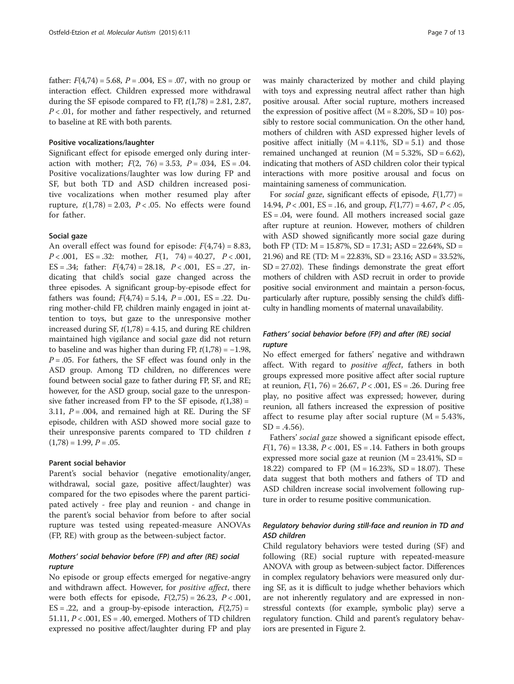father:  $F(4,74) = 5.68$ ,  $P = .004$ ,  $ES = .07$ , with no group or interaction effect. Children expressed more withdrawal during the SF episode compared to FP,  $t(1,78) = 2.81$ , 2.87,  $P < .01$ , for mother and father respectively, and returned to baseline at RE with both parents.

## Positive vocalizations/laughter

Significant effect for episode emerged only during interaction with mother;  $F(2, 76) = 3.53$ ,  $P = .034$ ,  $ES = .04$ . Positive vocalizations/laughter was low during FP and SF, but both TD and ASD children increased positive vocalizations when mother resumed play after rupture,  $t(1,78) = 2.03$ ,  $P < .05$ . No effects were found for father.

#### Social gaze

An overall effect was found for episode:  $F(4,74) = 8.83$ ,  $P < .001$ ,  $ES = .32$ : mother,  $F(1, 74) = 40.27$ ,  $P < .001$ , ES = .34; father:  $F(4,74) = 28.18$ ,  $P < .001$ , ES = .27, indicating that child's social gaze changed across the three episodes. A significant group-by-episode effect for fathers was found;  $F(4,74) = 5.14$ ,  $P = .001$ ,  $ES = .22$ . During mother-child FP, children mainly engaged in joint attention to toys, but gaze to the unresponsive mother increased during SF,  $t(1,78) = 4.15$ , and during RE children maintained high vigilance and social gaze did not return to baseline and was higher than during FP,  $t(1,78) = -1.98$ ,  $P = .05$ . For fathers, the SF effect was found only in the ASD group. Among TD children, no differences were found between social gaze to father during FP, SF, and RE; however, for the ASD group, social gaze to the unresponsive father increased from FP to the SF episode,  $t(1,38) =$ 3.11,  $P = .004$ , and remained high at RE. During the SF episode, children with ASD showed more social gaze to their unresponsive parents compared to  $TD$  children  $t$  $(1,78) = 1.99, P = .05.$ 

#### Parent social behavior

Parent's social behavior (negative emotionality/anger, withdrawal, social gaze, positive affect/laughter) was compared for the two episodes where the parent participated actively - free play and reunion - and change in the parent's social behavior from before to after social rupture was tested using repeated-measure ANOVAs (FP, RE) with group as the between-subject factor.

## Mothers' social behavior before (FP) and after (RE) social rupture

No episode or group effects emerged for negative-angry and withdrawn affect. However, for *positive affect*, there were both effects for episode,  $F(2,75) = 26.23$ ,  $P < .001$ ,  $ES = .22$ , and a group-by-episode interaction,  $F(2,75) =$ 51.11,  $P < .001$ ,  $ES = .40$ , emerged. Mothers of TD children expressed no positive affect/laughter during FP and play was mainly characterized by mother and child playing with toys and expressing neutral affect rather than high positive arousal. After social rupture, mothers increased the expression of positive affect  $(M = 8.20\%, SD = 10)$  possibly to restore social communication. On the other hand, mothers of children with ASD expressed higher levels of positive affect initially  $(M = 4.11\%, SD = 5.1)$  and those remained unchanged at reunion  $(M = 5.32\%, SD = 6.62)$ , indicating that mothers of ASD children color their typical interactions with more positive arousal and focus on maintaining sameness of communication.

For social gaze, significant effects of episode,  $F(1,77) =$ 14.94,  $P < .001$ ,  $ES = .16$ , and group,  $F(1,77) = 4.67$ ,  $P < .05$ ,  $ES = .04$ , were found. All mothers increased social gaze after rupture at reunion. However, mothers of children with ASD showed significantly more social gaze during both FP (TD: M = 15.87%, SD = 17.31; ASD = 22.64%, SD = 21.96) and RE (TD: M = 22.83%, SD = 23.16; ASD = 33.52%,  $SD = 27.02$ ). These findings demonstrate the great effort mothers of children with ASD recruit in order to provide positive social environment and maintain a person-focus, particularly after rupture, possibly sensing the child's difficulty in handling moments of maternal unavailability.

## Fathers' social behavior before (FP) and after (RE) social rupture

No effect emerged for fathers' negative and withdrawn affect. With regard to *positive affect*, fathers in both groups expressed more positive affect after social rupture at reunion,  $F(1, 76) = 26.67$ ,  $P < .001$ ,  $ES = .26$ . During free play, no positive affect was expressed; however, during reunion, all fathers increased the expression of positive affect to resume play after social rupture  $(M = 5.43\%)$  $SD = .4.56$ ).

Fathers' social gaze showed a significant episode effect,  $F(1, 76) = 13.38, P < .001, ES = .14.$  Fathers in both groups expressed more social gaze at reunion  $(M = 23.41\%$ , SD = 18.22) compared to FP ( $M = 16.23\%$ , SD = 18.07). These data suggest that both mothers and fathers of TD and ASD children increase social involvement following rupture in order to resume positive communication.

## Regulatory behavior during still-face and reunion in TD and ASD children

Child regulatory behaviors were tested during (SF) and following (RE) social rupture with repeated-measure ANOVA with group as between-subject factor. Differences in complex regulatory behaviors were measured only during SF, as it is difficult to judge whether behaviors which are not inherently regulatory and are expressed in nonstressful contexts (for example, symbolic play) serve a regulatory function. Child and parent's regulatory behaviors are presented in Figure [2.](#page-7-0)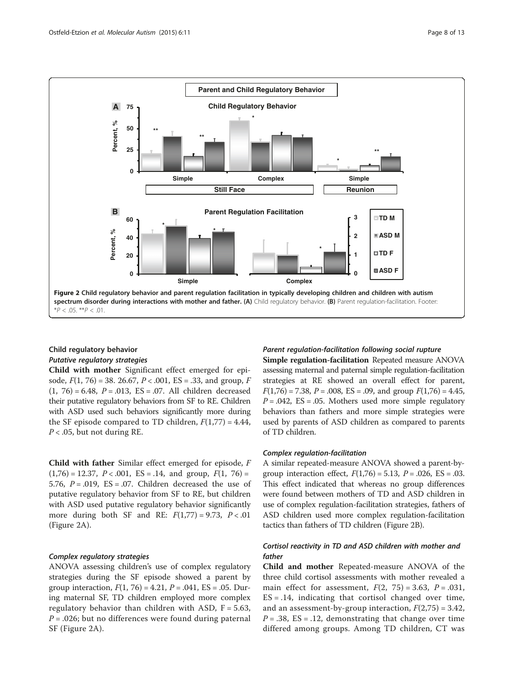<span id="page-7-0"></span>

# Child regulatory behavior

## Putative regulatory strategies

Child with mother Significant effect emerged for episode,  $F(1, 76) = 38$ . 26.67,  $P < .001$ , ES = .33, and group, F  $(1, 76) = 6.48$ ,  $P = .013$ ,  $ES = .07$ . All children decreased their putative regulatory behaviors from SF to RE. Children with ASD used such behaviors significantly more during the SF episode compared to TD children,  $F(1,77) = 4.44$ ,  $P < .05$ , but not during RE.

Child with father Similar effect emerged for episode, F  $(1,76) = 12.37$ ,  $P < .001$ ,  $ES = .14$ , and group,  $F(1, 76) =$ 5.76,  $P = .019$ ,  $ES = .07$ . Children decreased the use of putative regulatory behavior from SF to RE, but children with ASD used putative regulatory behavior significantly more during both SF and RE:  $F(1,77) = 9.73$ ,  $P < .01$ (Figure 2A).

## Complex regulatory strategies

ANOVA assessing children's use of complex regulatory strategies during the SF episode showed a parent by group interaction,  $F(1, 76) = 4.21$ ,  $P = .041$ ,  $ES = .05$ . During maternal SF, TD children employed more complex regulatory behavior than children with ASD,  $F = 5.63$ ,  $P = 0.026$ ; but no differences were found during paternal SF (Figure 2A).

#### Parent regulation-facilitation following social rupture

Simple regulation-facilitation Repeated measure ANOVA assessing maternal and paternal simple regulation-facilitation strategies at RE showed an overall effect for parent,  $F(1,76) = 7.38$ ,  $P = .008$ ,  $ES = .09$ , and group  $F(1,76) = 4.45$ ,  $P = .042$ , ES = .05. Mothers used more simple regulatory behaviors than fathers and more simple strategies were used by parents of ASD children as compared to parents of TD children.

#### Complex regulation-facilitation

A similar repeated-measure ANOVA showed a parent-bygroup interaction effect,  $F(1,76) = 5.13$ ,  $P = .026$ ,  $ES = .03$ . This effect indicated that whereas no group differences were found between mothers of TD and ASD children in use of complex regulation-facilitation strategies, fathers of ASD children used more complex regulation-facilitation tactics than fathers of TD children (Figure 2B).

## Cortisol reactivity in TD and ASD children with mother and father

Child and mother Repeated-measure ANOVA of the three child cortisol assessments with mother revealed a main effect for assessment,  $F(2, 75) = 3.63$ ,  $P = .031$ ,  $ES = .14$ , indicating that cortisol changed over time, and an assessment-by-group interaction,  $F(2,75) = 3.42$ ,  $P = .38$ , ES = .12, demonstrating that change over time differed among groups. Among TD children, CT was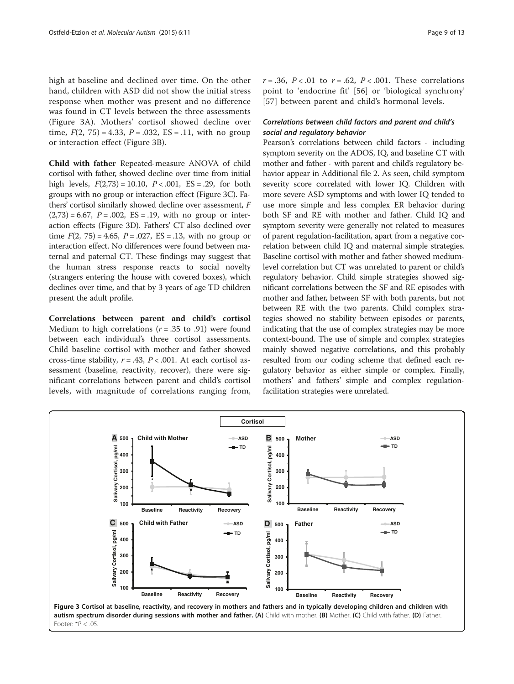high at baseline and declined over time. On the other hand, children with ASD did not show the initial stress response when mother was present and no difference was found in CT levels between the three assessments (Figure 3A). Mothers' cortisol showed decline over time,  $F(2, 75) = 4.33$ ,  $P = .032$ ,  $ES = .11$ , with no group or interaction effect (Figure 3B).

Child with father Repeated-measure ANOVA of child cortisol with father, showed decline over time from initial high levels,  $F(2,73) = 10.10$ ,  $P < .001$ ,  $ES = .29$ , for both groups with no group or interaction effect (Figure 3C). Fathers' cortisol similarly showed decline over assessment, F  $(2,73) = 6.67$ ,  $P = .002$ ,  $ES = .19$ , with no group or interaction effects (Figure 3D). Fathers' CT also declined over time  $F(2, 75) = 4.65$ ,  $P = .027$ ,  $ES = .13$ , with no group or interaction effect. No differences were found between maternal and paternal CT. These findings may suggest that the human stress response reacts to social novelty (strangers entering the house with covered boxes), which declines over time, and that by 3 years of age TD children present the adult profile.

Correlations between parent and child's cortisol Medium to high correlations ( $r = .35$  to .91) were found between each individual's three cortisol assessments. Child baseline cortisol with mother and father showed cross-time stability,  $r = .43$ ,  $P < .001$ . At each cortisol assessment (baseline, reactivity, recover), there were significant correlations between parent and child's cortisol levels, with magnitude of correlations ranging from,  $r = .36$ ,  $P < .01$  to  $r = .62$ ,  $P < .001$ . These correlations point to 'endocrine fit' [[56](#page-12-0)] or 'biological synchrony' [[57](#page-12-0)] between parent and child's hormonal levels.

## Correlations between child factors and parent and child's social and regulatory behavior

Pearson's correlations between child factors - including symptom severity on the ADOS, IQ, and baseline CT with mother and father - with parent and child's regulatory behavior appear in Additional file [2.](#page-11-0) As seen, child symptom severity score correlated with lower IQ. Children with more severe ASD symptoms and with lower IQ tended to use more simple and less complex ER behavior during both SF and RE with mother and father. Child IQ and symptom severity were generally not related to measures of parent regulation-facilitation, apart from a negative correlation between child IQ and maternal simple strategies. Baseline cortisol with mother and father showed mediumlevel correlation but CT was unrelated to parent or child's regulatory behavior. Child simple strategies showed significant correlations between the SF and RE episodes with mother and father, between SF with both parents, but not between RE with the two parents. Child complex strategies showed no stability between episodes or parents, indicating that the use of complex strategies may be more context-bound. The use of simple and complex strategies mainly showed negative correlations, and this probably resulted from our coding scheme that defined each regulatory behavior as either simple or complex. Finally, mothers' and fathers' simple and complex regulationfacilitation strategies were unrelated.

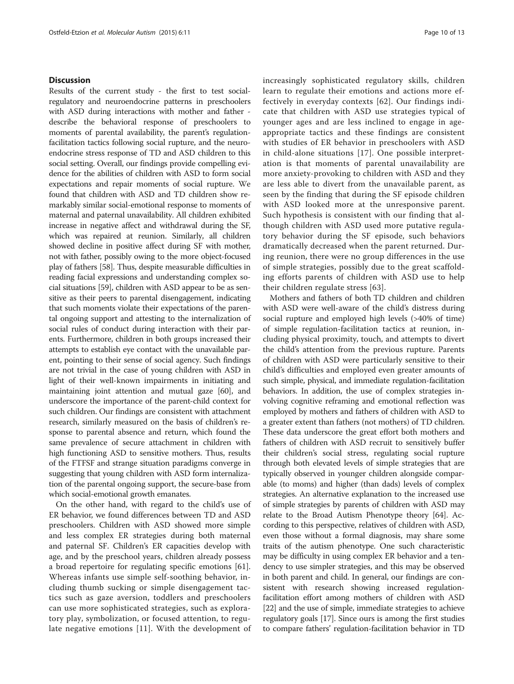#### **Discussion**

Results of the current study - the first to test socialregulatory and neuroendocrine patterns in preschoolers with ASD during interactions with mother and father describe the behavioral response of preschoolers to moments of parental availability, the parent's regulationfacilitation tactics following social rupture, and the neuroendocrine stress response of TD and ASD children to this social setting. Overall, our findings provide compelling evidence for the abilities of children with ASD to form social expectations and repair moments of social rupture. We found that children with ASD and TD children show remarkably similar social-emotional response to moments of maternal and paternal unavailability. All children exhibited increase in negative affect and withdrawal during the SF, which was repaired at reunion. Similarly, all children showed decline in positive affect during SF with mother, not with father, possibly owing to the more object-focused play of fathers [\[58\]](#page-12-0). Thus, despite measurable difficulties in reading facial expressions and understanding complex social situations [[59](#page-12-0)], children with ASD appear to be as sensitive as their peers to parental disengagement, indicating that such moments violate their expectations of the parental ongoing support and attesting to the internalization of social rules of conduct during interaction with their parents. Furthermore, children in both groups increased their attempts to establish eye contact with the unavailable parent, pointing to their sense of social agency. Such findings are not trivial in the case of young children with ASD in light of their well-known impairments in initiating and maintaining joint attention and mutual gaze [\[60\]](#page-12-0), and underscore the importance of the parent-child context for such children. Our findings are consistent with attachment research, similarly measured on the basis of children's response to parental absence and return, which found the same prevalence of secure attachment in children with high functioning ASD to sensitive mothers. Thus, results of the FTFSF and strange situation paradigms converge in suggesting that young children with ASD form internalization of the parental ongoing support, the secure-base from which social-emotional growth emanates.

On the other hand, with regard to the child's use of ER behavior, we found differences between TD and ASD preschoolers. Children with ASD showed more simple and less complex ER strategies during both maternal and paternal SF. Children's ER capacities develop with age, and by the preschool years, children already possess a broad repertoire for regulating specific emotions [\[61](#page-12-0)]. Whereas infants use simple self-soothing behavior, including thumb sucking or simple disengagement tactics such as gaze aversion, toddlers and preschoolers can use more sophisticated strategies, such as exploratory play, symbolization, or focused attention, to regulate negative emotions [\[11](#page-11-0)]. With the development of increasingly sophisticated regulatory skills, children learn to regulate their emotions and actions more effectively in everyday contexts [[62\]](#page-12-0). Our findings indicate that children with ASD use strategies typical of younger ages and are less inclined to engage in ageappropriate tactics and these findings are consistent with studies of ER behavior in preschoolers with ASD in child-alone situations [\[17\]](#page-11-0). One possible interpretation is that moments of parental unavailability are more anxiety-provoking to children with ASD and they are less able to divert from the unavailable parent, as seen by the finding that during the SF episode children with ASD looked more at the unresponsive parent. Such hypothesis is consistent with our finding that although children with ASD used more putative regulatory behavior during the SF episode, such behaviors dramatically decreased when the parent returned. During reunion, there were no group differences in the use of simple strategies, possibly due to the great scaffolding efforts parents of children with ASD use to help their children regulate stress [[63\]](#page-12-0).

Mothers and fathers of both TD children and children with ASD were well-aware of the child's distress during social rupture and employed high levels (>40% of time) of simple regulation-facilitation tactics at reunion, including physical proximity, touch, and attempts to divert the child's attention from the previous rupture. Parents of children with ASD were particularly sensitive to their child's difficulties and employed even greater amounts of such simple, physical, and immediate regulation-facilitation behaviors. In addition, the use of complex strategies involving cognitive reframing and emotional reflection was employed by mothers and fathers of children with ASD to a greater extent than fathers (not mothers) of TD children. These data underscore the great effort both mothers and fathers of children with ASD recruit to sensitively buffer their children's social stress, regulating social rupture through both elevated levels of simple strategies that are typically observed in younger children alongside comparable (to moms) and higher (than dads) levels of complex strategies. An alternative explanation to the increased use of simple strategies by parents of children with ASD may relate to the Broad Autism Phenotype theory [[64](#page-12-0)]. According to this perspective, relatives of children with ASD, even those without a formal diagnosis, may share some traits of the autism phenotype. One such characteristic may be difficulty in using complex ER behavior and a tendency to use simpler strategies, and this may be observed in both parent and child. In general, our findings are consistent with research showing increased regulationfacilitation effort among mothers of children with ASD [[22](#page-11-0)] and the use of simple, immediate strategies to achieve regulatory goals [\[17](#page-11-0)]. Since ours is among the first studies to compare fathers' regulation-facilitation behavior in TD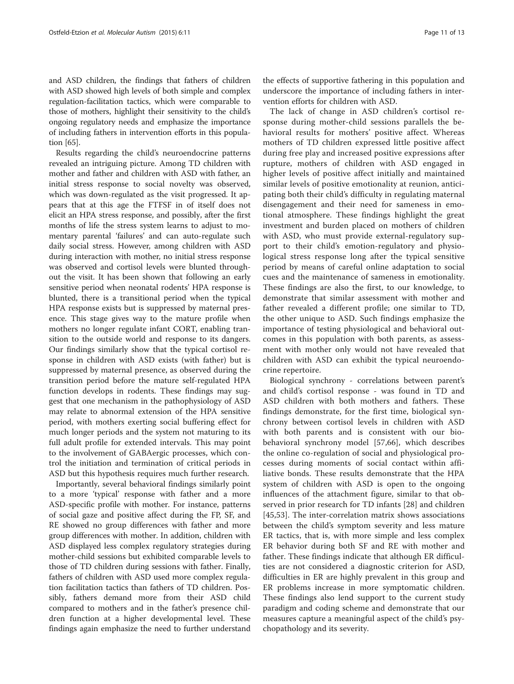and ASD children, the findings that fathers of children with ASD showed high levels of both simple and complex regulation-facilitation tactics, which were comparable to those of mothers, highlight their sensitivity to the child's ongoing regulatory needs and emphasize the importance of including fathers in intervention efforts in this population [\[65\]](#page-12-0).

Results regarding the child's neuroendocrine patterns revealed an intriguing picture. Among TD children with mother and father and children with ASD with father, an initial stress response to social novelty was observed, which was down-regulated as the visit progressed. It appears that at this age the FTFSF in of itself does not elicit an HPA stress response, and possibly, after the first months of life the stress system learns to adjust to momentary parental 'failures' and can auto-regulate such daily social stress. However, among children with ASD during interaction with mother, no initial stress response was observed and cortisol levels were blunted throughout the visit. It has been shown that following an early sensitive period when neonatal rodents' HPA response is blunted, there is a transitional period when the typical HPA response exists but is suppressed by maternal presence. This stage gives way to the mature profile when mothers no longer regulate infant CORT, enabling transition to the outside world and response to its dangers. Our findings similarly show that the typical cortisol response in children with ASD exists (with father) but is suppressed by maternal presence, as observed during the transition period before the mature self-regulated HPA function develops in rodents. These findings may suggest that one mechanism in the pathophysiology of ASD may relate to abnormal extension of the HPA sensitive period, with mothers exerting social buffering effect for much longer periods and the system not maturing to its full adult profile for extended intervals. This may point to the involvement of GABAergic processes, which control the initiation and termination of critical periods in ASD but this hypothesis requires much further research.

Importantly, several behavioral findings similarly point to a more 'typical' response with father and a more ASD-specific profile with mother. For instance, patterns of social gaze and positive affect during the FP, SF, and RE showed no group differences with father and more group differences with mother. In addition, children with ASD displayed less complex regulatory strategies during mother-child sessions but exhibited comparable levels to those of TD children during sessions with father. Finally, fathers of children with ASD used more complex regulation facilitation tactics than fathers of TD children. Possibly, fathers demand more from their ASD child compared to mothers and in the father's presence children function at a higher developmental level. These findings again emphasize the need to further understand

the effects of supportive fathering in this population and underscore the importance of including fathers in intervention efforts for children with ASD.

The lack of change in ASD children's cortisol response during mother-child sessions parallels the behavioral results for mothers' positive affect. Whereas mothers of TD children expressed little positive affect during free play and increased positive expressions after rupture, mothers of children with ASD engaged in higher levels of positive affect initially and maintained similar levels of positive emotionality at reunion, anticipating both their child's difficulty in regulating maternal disengagement and their need for sameness in emotional atmosphere. These findings highlight the great investment and burden placed on mothers of children with ASD, who must provide external-regulatory support to their child's emotion-regulatory and physiological stress response long after the typical sensitive period by means of careful online adaptation to social cues and the maintenance of sameness in emotionality. These findings are also the first, to our knowledge, to demonstrate that similar assessment with mother and father revealed a different profile; one similar to TD, the other unique to ASD. Such findings emphasize the importance of testing physiological and behavioral outcomes in this population with both parents, as assessment with mother only would not have revealed that children with ASD can exhibit the typical neuroendocrine repertoire.

Biological synchrony - correlations between parent's and child's cortisol response - was found in TD and ASD children with both mothers and fathers. These findings demonstrate, for the first time, biological synchrony between cortisol levels in children with ASD with both parents and is consistent with our biobehavioral synchrony model [[57,66\]](#page-12-0), which describes the online co-regulation of social and physiological processes during moments of social contact within affiliative bonds. These results demonstrate that the HPA system of children with ASD is open to the ongoing influences of the attachment figure, similar to that observed in prior research for TD infants [[28\]](#page-12-0) and children [[45,53](#page-12-0)]. The inter-correlation matrix shows associations between the child's symptom severity and less mature ER tactics, that is, with more simple and less complex ER behavior during both SF and RE with mother and father. These findings indicate that although ER difficulties are not considered a diagnostic criterion for ASD, difficulties in ER are highly prevalent in this group and ER problems increase in more symptomatic children. These findings also lend support to the current study paradigm and coding scheme and demonstrate that our measures capture a meaningful aspect of the child's psychopathology and its severity.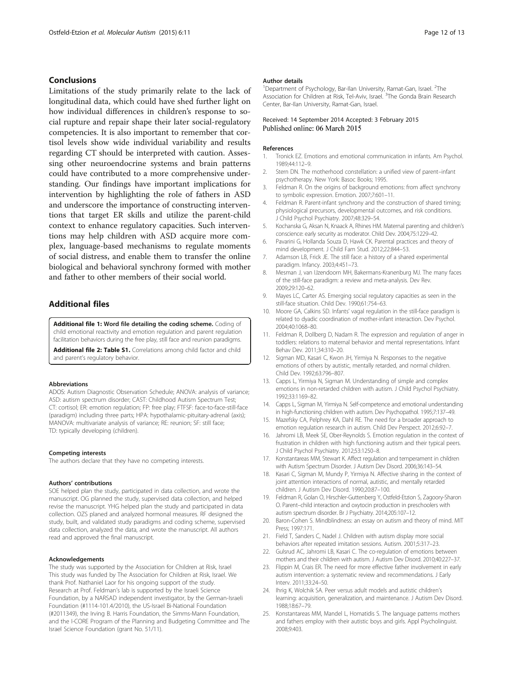#### <span id="page-11-0"></span>Conclusions

Limitations of the study primarily relate to the lack of longitudinal data, which could have shed further light on how individual differences in children's response to social rupture and repair shape their later social-regulatory competencies. It is also important to remember that cortisol levels show wide individual variability and results regarding CT should be interpreted with caution. Assessing other neuroendocrine systems and brain patterns could have contributed to a more comprehensive understanding. Our findings have important implications for intervention by highlighting the role of fathers in ASD and underscore the importance of constructing interventions that target ER skills and utilize the parent-child context to enhance regulatory capacities. Such interventions may help children with ASD acquire more complex, language-based mechanisms to regulate moments of social distress, and enable them to transfer the online biological and behavioral synchrony formed with mother and father to other members of their social world.

## Additional files

[Additional file 1:](http://www.molecularautism.com/content/supplementary/s13229-015-0007-2-s1.docx) Word file detailing the coding scheme. Coding of child emotional reactivity and emotion regulation and parent regulation facilitation behaviors during the free play, still face and reunion paradigms.

[Additional file 2: Table S1.](http://www.molecularautism.com/content/supplementary/s13229-015-0007-2-s2.pdf) Correlations among child factor and child and parent's regulatory behavior.

#### Abbreviations

ADOS: Autism Diagnostic Observation Schedule; ANOVA: analysis of variance; ASD: autism spectrum disorder; CAST: Childhood Autism Spectrum Test; CT: cortisol; ER: emotion regulation; FP: free play; FTFSF: face-to-face-still-face (paradigm) including three parts; HPA: hypothalamic-pituitary-adrenal (axis); MANOVA: multivariate analysis of variance; RE: reunion; SF: still face; TD: typically developing (children).

#### Competing interests

The authors declare that they have no competing interests.

#### Authors' contributions

SOE helped plan the study, participated in data collection, and wrote the manuscript. OG planned the study, supervised data collection, and helped revise the manuscript. YHG helped plan the study and participated in data collection. OZS planed and analyzed hormonal measures. RF designed the study, built, and validated study paradigms and coding scheme, supervised data collection, analyzed the data, and wrote the manuscript. All authors read and approved the final manuscript.

#### Acknowledgements

The study was supported by the Association for Children at Risk, Israel This study was funded by The Association for Children at Risk, Israel. We thank Prof. Nathaniel Laor for his ongoing support of the study. Research at Prof. Feldman's lab is supported by the Israeli Science Foundation, by a NARSAD independent investigator, by the German-Israeli Foundation (#1114-101.4/2010), the US-Israel Bi-National Foundation (#2011349), the Irving B. Harris Foundation, the Simms-Mann Foundation, and the I-CORE Program of the Planning and Budgeting Committee and The Israel Science Foundation (grant No. 51/11).

#### Author details

<sup>1</sup>Department of Psychology, Bar-Ilan University, Ramat-Gan, Israel. <sup>2</sup>The Association for Children at Risk, Tel-Aviv, Israel. <sup>3</sup>The Gonda Brain Research Center, Bar-Ilan University, Ramat-Gan, Israel.

#### Received: 14 September 2014 Accepted: 3 February 2015 Published online: 06 March 2015

#### References

- 1. Tronick EZ. Emotions and emotional communication in infants. Am Psychol. 1989;44:112–9.
- 2. Stern DN. The motherhood constellation: a unified view of parent–infant psychotherapy. New York: Basoc Books; 1995.
- 3. Feldman R. On the origins of background emotions: from affect synchrony to symbolic expression. Emotion. 2007;7:601–11.
- 4. Feldman R. Parent-infant synchrony and the construction of shared timing; physiological precursors, developmental outcomes, and risk conditions. J Child Psychol Psychiatry. 2007;48:329–54.
- 5. Kochanska G, Aksan N, Knaack A, Rhines HM. Maternal parenting and children's conscience: early security as moderator. Child Dev. 2004;75:1229–42.
- 6. Pavarini G, Hollanda Souza D, Hawk CK. Parental practices and theory of mind development. J Child Fam Stud. 2012;22:844–53.
- 7. Adamson LB, Frick JE. The still face: a history of a shared experimental paradigm. Infancy. 2003;4:451–73.
- 8. Mesman J, van IJzendoorn MH, Bakermans-Kranenburg MJ. The many faces of the still-face paradigm: a review and meta-analysis. Dev Rev. 2009;29:120–62.
- 9. Mayes LC, Carter AS. Emerging social regulatory capacities as seen in the still-face situation. Child Dev. 1990;61:754–63.
- 10. Moore GA, Calkins SD. Infants' vagal regulation in the still-face paradigm is related to dyadic coordination of mother-infant interaction. Dev Psychol. 2004;40:1068–80.
- 11. Feldman R, Dollberg D, Nadam R. The expression and regulation of anger in toddlers: relations to maternal behavior and mental representations. Infant Behav Dev. 2011;34:310–20.
- 12. Sigman MD, Kasari C, Kwon JH, Yirmiya N. Responses to the negative emotions of others by autistic, mentally retarded, and normal children. Child Dev. 1992;63:796–807.
- 13. Capps L, Yirmiya N, Sigman M. Understanding of simple and complex emotions in non-retarded children with autism. J Child Psychol Psychiatry. 1992;33:1169–82.
- 14. Capps L, Sigman M, Yirmiya N. Self-competence and emotional understanding in high-functioning children with autism. Dev Psychopathol. 1995;7:137–49.
- 15. Mazefsky CA, Pelphrey KA, Dahl RE. The need for a broader approach to emotion regulation research in autism. Child Dev Perspect. 2012;6:92–7.
- 16. Jahromi LB, Meek SE, Ober-Reynolds S. Emotion regulation in the context of frustration in children with high functioning autism and their typical peers. J Child Psychol Psychiatry. 2012;53:1250–8.
- 17. Konstantareas MM, Stewart K. Affect regulation and temperament in children with Autism Spectrum Disorder. J Autism Dev Disord. 2006;36:143–54.
- 18. Kasari C, Sigman M, Mundy P, Yirmiya N. Affective sharing in the context of joint attention interactions of normal, autistic, and mentally retarded children. J Autism Dev Disord. 1990;20:87–100.
- 19. Feldman R, Golan O, Hirschler-Guttenberg Y, Ostfeld-Etzion S, Zagoory-Sharon O. Parent–child interaction and oxytocin production in preschoolers with autism spectrum disorder. Br J Psychiatry. 2014;205:107–12.
- 20. Baron-Cohen S. Mindblindness: an essay on autism and theory of mind. MIT Press; 1997:171.
- 21. Field T, Sanders C, Nadel J. Children with autism display more social behaviors after repeated imitation sessions. Autism. 2001;5:317–23.
- 22. Gulsrud AC, Jahromi LB, Kasari C. The co-regulation of emotions between mothers and their children with autism. J Autism Dev Disord. 2010;40:227–37.
- 23. Flippin M, Crais ER. The need for more effective father involvement in early autism intervention: a systematic review and recommendations. J Early Interv. 2011;33:24–50.
- 24. Ihrig K, Wolchik SA. Peer versus adult models and autistic children's learning: acquisition, generalization, and maintenance. J Autism Dev Disord. 1988;18:67–79.
- 25. Konstantareas MM, Mandel L, Homatidis S. The language patterns mothers and fathers employ with their autistic boys and girls. Appl Psycholinguist. 2008;9:403.